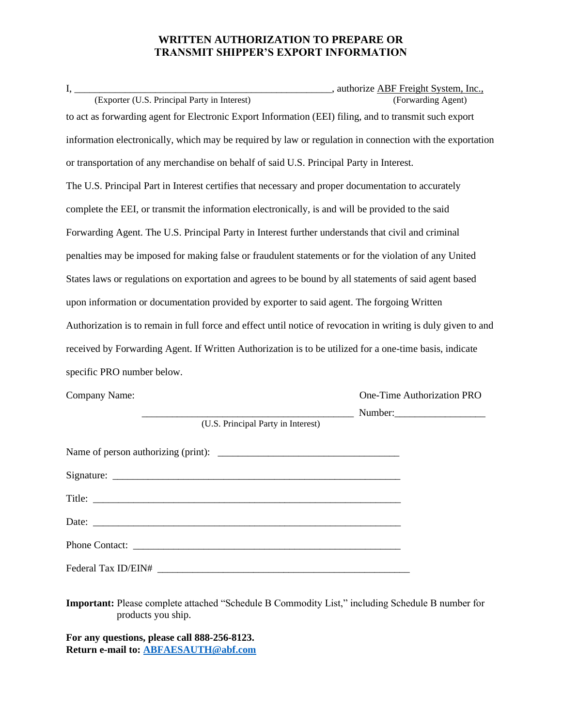## **WRITTEN AUTHORIZATION TO PREPARE OR TRANSMIT SHIPPER'S EXPORT INFORMATION**

| to act as forwarding agent for Electronic Export Information (EEI) filing, and to transmit such export         |                            |  |  |  |
|----------------------------------------------------------------------------------------------------------------|----------------------------|--|--|--|
| information electronically, which may be required by law or regulation in connection with the exportation      |                            |  |  |  |
| or transportation of any merchandise on behalf of said U.S. Principal Party in Interest.                       |                            |  |  |  |
| The U.S. Principal Part in Interest certifies that necessary and proper documentation to accurately            |                            |  |  |  |
| complete the EEI, or transmit the information electronically, is and will be provided to the said              |                            |  |  |  |
| Forwarding Agent. The U.S. Principal Party in Interest further understands that civil and criminal             |                            |  |  |  |
| penalties may be imposed for making false or fraudulent statements or for the violation of any United          |                            |  |  |  |
| States laws or regulations on exportation and agrees to be bound by all statements of said agent based         |                            |  |  |  |
| upon information or documentation provided by exporter to said agent. The forgoing Written                     |                            |  |  |  |
| Authorization is to remain in full force and effect until notice of revocation in writing is duly given to and |                            |  |  |  |
| received by Forwarding Agent. If Written Authorization is to be utilized for a one-time basis, indicate        |                            |  |  |  |
| specific PRO number below.                                                                                     |                            |  |  |  |
| Company Name:                                                                                                  | One-Time Authorization PRO |  |  |  |
| (U.S. Principal Party in Interest)                                                                             | $Number:$ Number:          |  |  |  |
|                                                                                                                |                            |  |  |  |
|                                                                                                                |                            |  |  |  |
| Title:                                                                                                         |                            |  |  |  |
|                                                                                                                |                            |  |  |  |
|                                                                                                                |                            |  |  |  |
|                                                                                                                |                            |  |  |  |

**Important:** Please complete attached "Schedule B Commodity List," including Schedule B number for products you ship.

**For any questions, please call 888-256-8123. Return e-mail to: [ABFAESAUTH@abf.com](mailto:ABFAESAUTH@abf.com)**